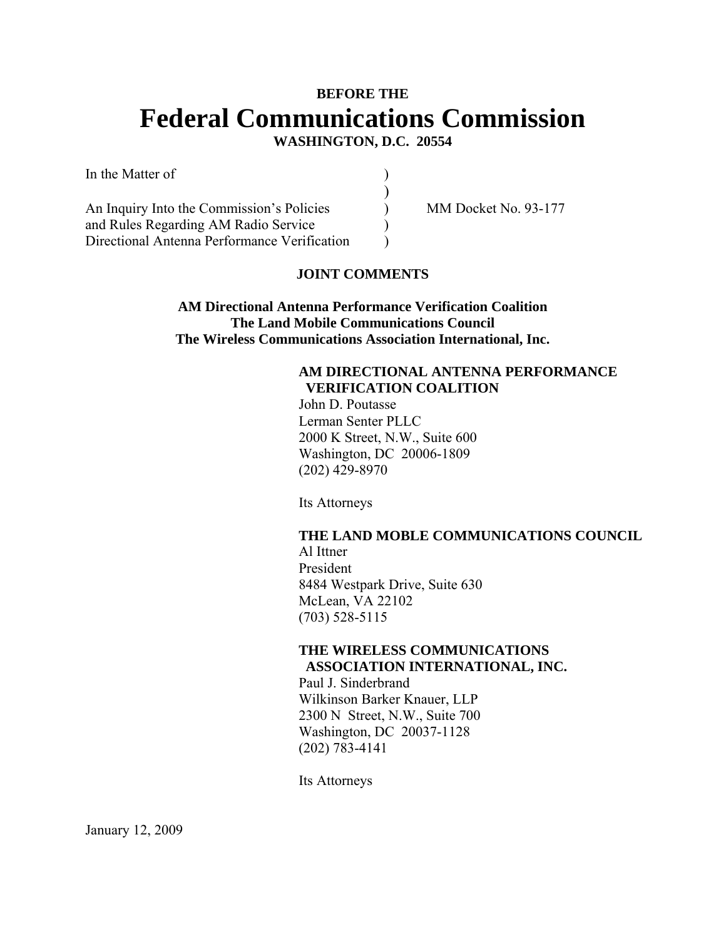# **BEFORE THE Federal Communications Commission WASHINGTON, D.C. 20554**

In the Matter of  $\qquad \qquad$  )

An Inquiry Into the Commission's Policies (a) MM Docket No. 93-177 and Rules Regarding AM Radio Service ) Directional Antenna Performance Verification (1)

 $)$ 

#### **JOINT COMMENTS**

**AM Directional Antenna Performance Verification Coalition The Land Mobile Communications Council The Wireless Communications Association International, Inc.** 

#### **AM DIRECTIONAL ANTENNA PERFORMANCE VERIFICATION COALITION**

John D. Poutasse Lerman Senter PLLC 2000 K Street, N.W., Suite 600 Washington, DC 20006-1809 (202) 429-8970

Its Attorneys

# **THE LAND MOBLE COMMUNICATIONS COUNCIL**

Al Ittner President 8484 Westpark Drive, Suite 630 McLean, VA 22102 (703) 528-5115

#### **THE WIRELESS COMMUNICATIONS ASSOCIATION INTERNATIONAL, INC.**

Paul J. Sinderbrand Wilkinson Barker Knauer, LLP 2300 N Street, N.W., Suite 700 Washington, DC 20037-1128 (202) 783-4141

Its Attorneys

January 12, 2009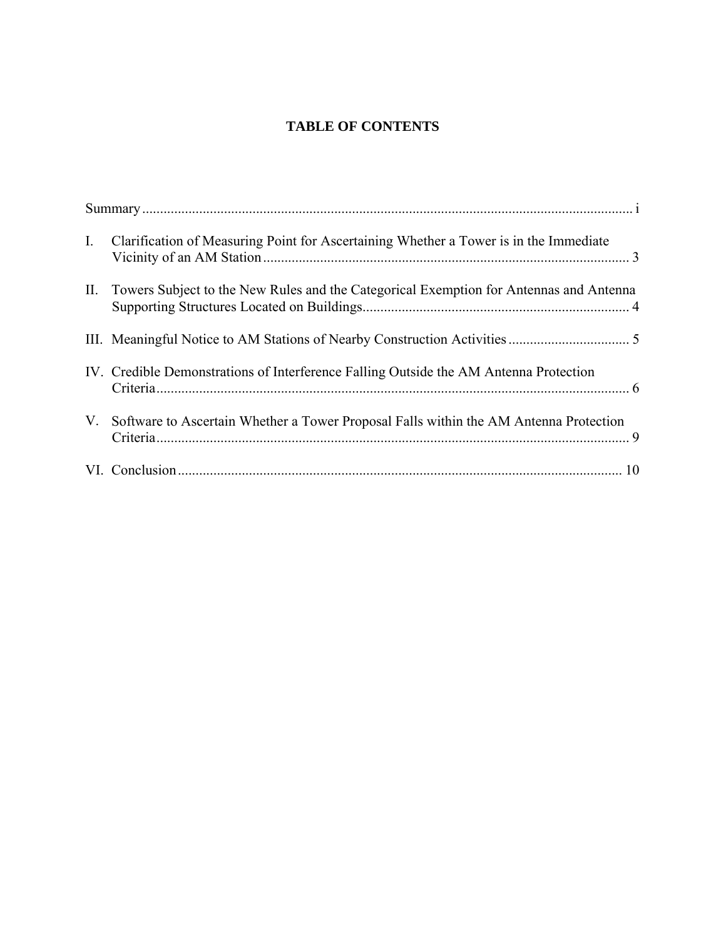## **TABLE OF CONTENTS**

| $I_{\cdot}$ | Clarification of Measuring Point for Ascertaining Whether a Tower is in the Immediate      |
|-------------|--------------------------------------------------------------------------------------------|
|             | II. Towers Subject to the New Rules and the Categorical Exemption for Antennas and Antenna |
|             |                                                                                            |
|             | IV. Credible Demonstrations of Interference Falling Outside the AM Antenna Protection      |
|             | V. Software to Ascertain Whether a Tower Proposal Falls within the AM Antenna Protection   |
|             |                                                                                            |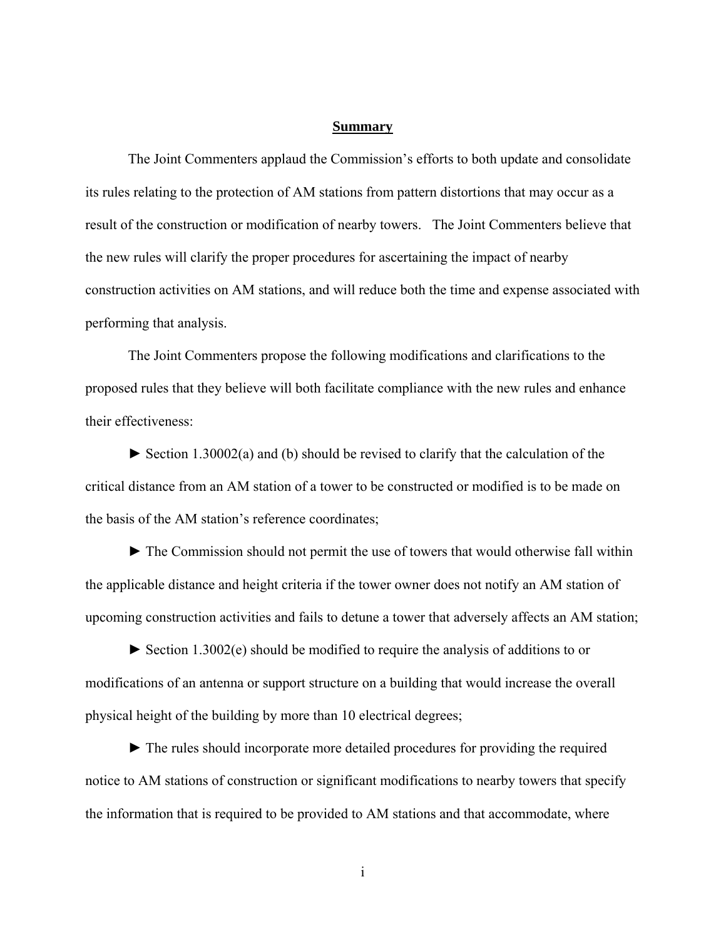#### **Summary**

The Joint Commenters applaud the Commission's efforts to both update and consolidate its rules relating to the protection of AM stations from pattern distortions that may occur as a result of the construction or modification of nearby towers. The Joint Commenters believe that the new rules will clarify the proper procedures for ascertaining the impact of nearby construction activities on AM stations, and will reduce both the time and expense associated with performing that analysis.

 The Joint Commenters propose the following modifications and clarifications to the proposed rules that they believe will both facilitate compliance with the new rules and enhance their effectiveness:

► Section 1.30002(a) and (b) should be revised to clarify that the calculation of the critical distance from an AM station of a tower to be constructed or modified is to be made on the basis of the AM station's reference coordinates;

► The Commission should not permit the use of towers that would otherwise fall within the applicable distance and height criteria if the tower owner does not notify an AM station of upcoming construction activities and fails to detune a tower that adversely affects an AM station;

► Section 1.3002(e) should be modified to require the analysis of additions to or modifications of an antenna or support structure on a building that would increase the overall physical height of the building by more than 10 electrical degrees;

► The rules should incorporate more detailed procedures for providing the required notice to AM stations of construction or significant modifications to nearby towers that specify the information that is required to be provided to AM stations and that accommodate, where

i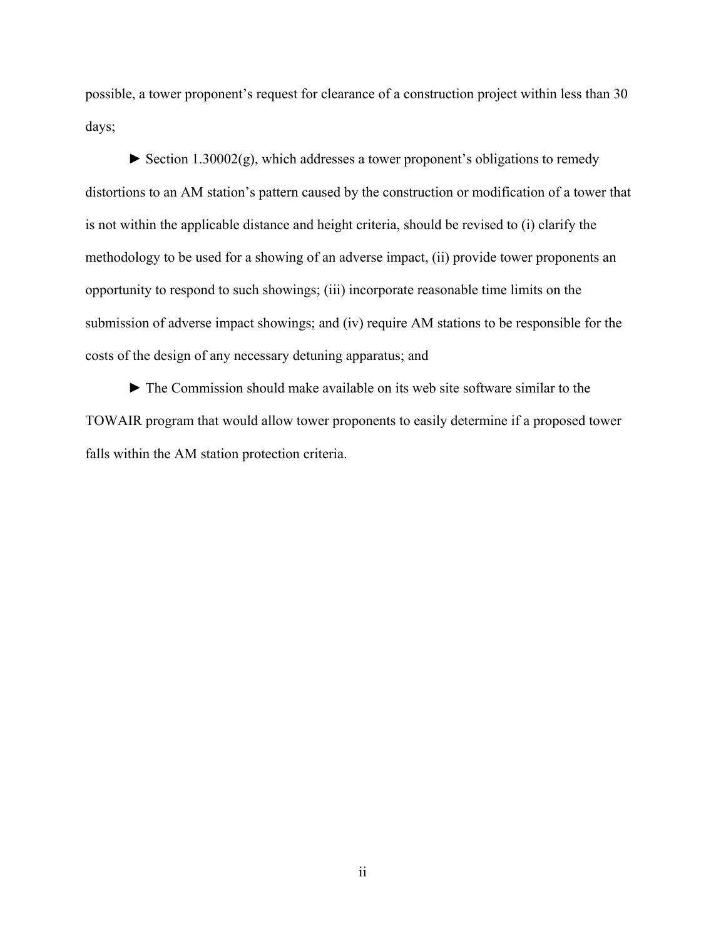possible, a tower proponent's request for clearance of a construction project within less than 30 days;

 $\triangleright$  Section 1.30002(g), which addresses a tower proponent's obligations to remedy distortions to an AM station's pattern caused by the construction or modification of a tower that is not within the applicable distance and height criteria, should be revised to (i) clarify the methodology to be used for a showing of an adverse impact, (ii) provide tower proponents an opportunity to respond to such showings; (iii) incorporate reasonable time limits on the submission of adverse impact showings; and (iv) require AM stations to be responsible for the costs of the design of any necessary detuning apparatus; and

► The Commission should make available on its web site software similar to the TOWAIR program that would allow tower proponents to easily determine if a proposed tower falls within the AM station protection criteria.

ii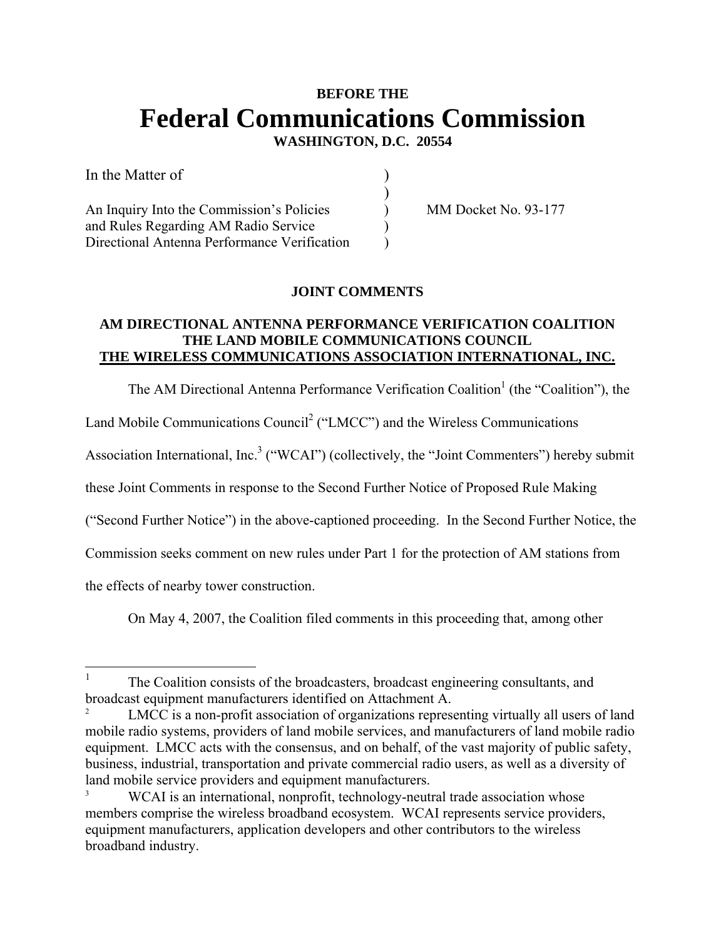# **BEFORE THE Federal Communications Commission**

 **WASHINGTON, D.C. 20554** 

| In the Matter of                             |  |
|----------------------------------------------|--|
|                                              |  |
| An Inquiry Into the Commission's Policies    |  |
| and Rules Regarding AM Radio Service         |  |
| Directional Antenna Performance Verification |  |

MM Docket No. 93-177

## **JOINT COMMENTS**

#### **AM DIRECTIONAL ANTENNA PERFORMANCE VERIFICATION COALITION THE LAND MOBILE COMMUNICATIONS COUNCIL THE WIRELESS COMMUNICATIONS ASSOCIATION INTERNATIONAL, INC.**

The AM Directional Antenna Performance Verification Coalition<sup>1</sup> (the "Coalition"), the

Land Mobile Communications Council<sup>2</sup> ("LMCC") and the Wireless Communications

Association International, Inc.<sup>3</sup> ("WCAI") (collectively, the "Joint Commenters") hereby submit

these Joint Comments in response to the Second Further Notice of Proposed Rule Making

("Second Further Notice") in the above-captioned proceeding. In the Second Further Notice, the

Commission seeks comment on new rules under Part 1 for the protection of AM stations from

the effects of nearby tower construction.

On May 4, 2007, the Coalition filed comments in this proceeding that, among other

 $\frac{1}{1}$  The Coalition consists of the broadcasters, broadcast engineering consultants, and broadcast equipment manufacturers identified on Attachment A. 2

LMCC is a non-profit association of organizations representing virtually all users of land mobile radio systems, providers of land mobile services, and manufacturers of land mobile radio equipment. LMCC acts with the consensus, and on behalf, of the vast majority of public safety, business, industrial, transportation and private commercial radio users, as well as a diversity of land mobile service providers and equipment manufacturers.

WCAI is an international, nonprofit, technology-neutral trade association whose members comprise the wireless broadband ecosystem. WCAI represents service providers, equipment manufacturers, application developers and other contributors to the wireless broadband industry.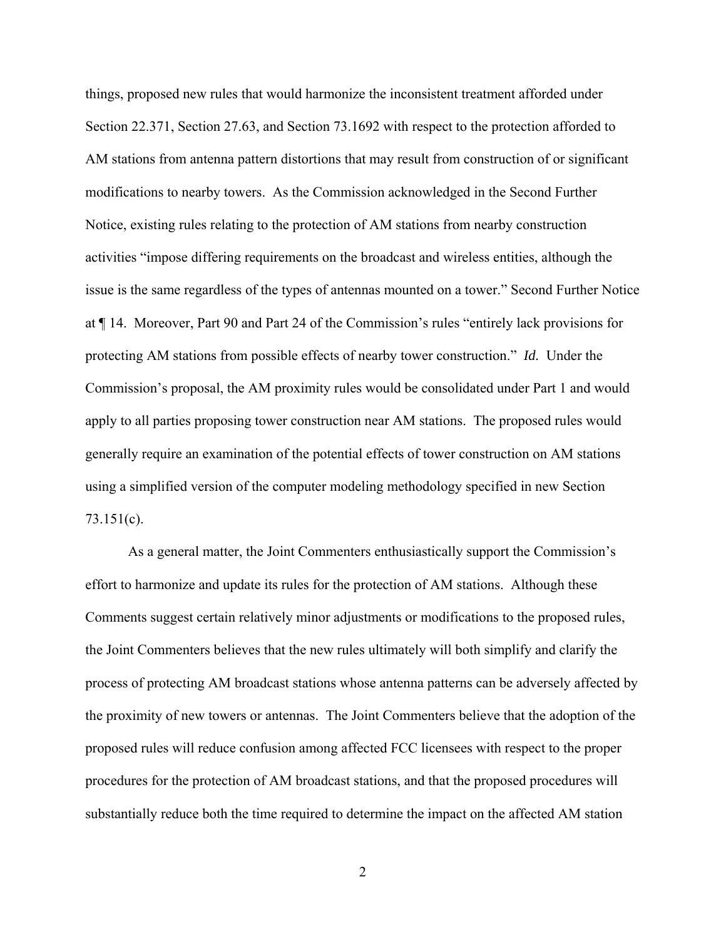things, proposed new rules that would harmonize the inconsistent treatment afforded under Section 22.371, Section 27.63, and Section 73.1692 with respect to the protection afforded to AM stations from antenna pattern distortions that may result from construction of or significant modifications to nearby towers. As the Commission acknowledged in the Second Further Notice, existing rules relating to the protection of AM stations from nearby construction activities "impose differing requirements on the broadcast and wireless entities, although the issue is the same regardless of the types of antennas mounted on a tower." Second Further Notice at ¶ 14. Moreover, Part 90 and Part 24 of the Commission's rules "entirely lack provisions for protecting AM stations from possible effects of nearby tower construction." *Id.* Under the Commission's proposal, the AM proximity rules would be consolidated under Part 1 and would apply to all parties proposing tower construction near AM stations. The proposed rules would generally require an examination of the potential effects of tower construction on AM stations using a simplified version of the computer modeling methodology specified in new Section 73.151(c).

As a general matter, the Joint Commenters enthusiastically support the Commission's effort to harmonize and update its rules for the protection of AM stations. Although these Comments suggest certain relatively minor adjustments or modifications to the proposed rules, the Joint Commenters believes that the new rules ultimately will both simplify and clarify the process of protecting AM broadcast stations whose antenna patterns can be adversely affected by the proximity of new towers or antennas. The Joint Commenters believe that the adoption of the proposed rules will reduce confusion among affected FCC licensees with respect to the proper procedures for the protection of AM broadcast stations, and that the proposed procedures will substantially reduce both the time required to determine the impact on the affected AM station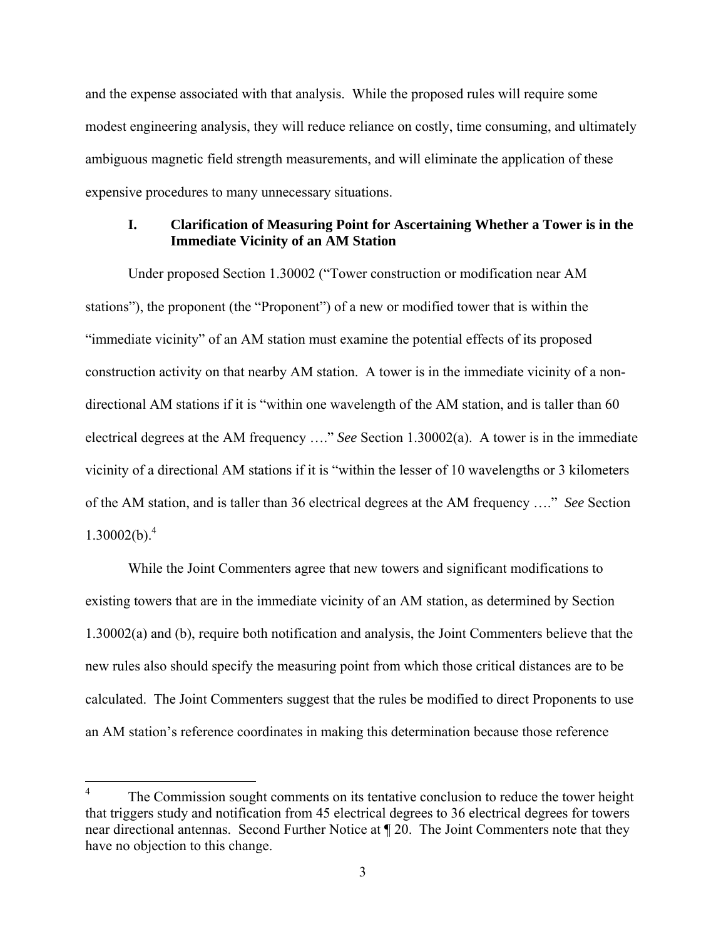and the expense associated with that analysis. While the proposed rules will require some modest engineering analysis, they will reduce reliance on costly, time consuming, and ultimately ambiguous magnetic field strength measurements, and will eliminate the application of these expensive procedures to many unnecessary situations.

#### **I. Clarification of Measuring Point for Ascertaining Whether a Tower is in the Immediate Vicinity of an AM Station**

Under proposed Section 1.30002 ("Tower construction or modification near AM stations"), the proponent (the "Proponent") of a new or modified tower that is within the "immediate vicinity" of an AM station must examine the potential effects of its proposed construction activity on that nearby AM station. A tower is in the immediate vicinity of a nondirectional AM stations if it is "within one wavelength of the AM station, and is taller than 60 electrical degrees at the AM frequency …." *See* Section 1.30002(a). A tower is in the immediate vicinity of a directional AM stations if it is "within the lesser of 10 wavelengths or 3 kilometers of the AM station, and is taller than 36 electrical degrees at the AM frequency …." *See* Section  $1.30002(b).^{4}$ 

While the Joint Commenters agree that new towers and significant modifications to existing towers that are in the immediate vicinity of an AM station, as determined by Section 1.30002(a) and (b), require both notification and analysis, the Joint Commenters believe that the new rules also should specify the measuring point from which those critical distances are to be calculated. The Joint Commenters suggest that the rules be modified to direct Proponents to use an AM station's reference coordinates in making this determination because those reference

 $\overline{a}$ 

<sup>4</sup> The Commission sought comments on its tentative conclusion to reduce the tower height that triggers study and notification from 45 electrical degrees to 36 electrical degrees for towers near directional antennas. Second Further Notice at ¶ 20. The Joint Commenters note that they have no objection to this change.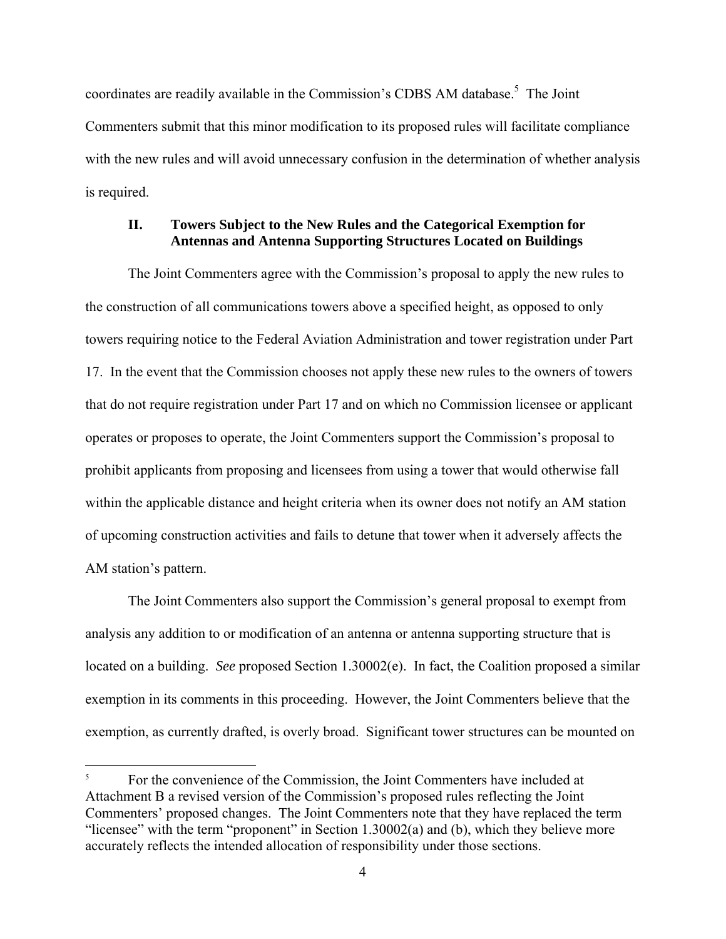coordinates are readily available in the Commission's CDBS AM database.<sup>5</sup> The Joint Commenters submit that this minor modification to its proposed rules will facilitate compliance with the new rules and will avoid unnecessary confusion in the determination of whether analysis is required.

#### **II. Towers Subject to the New Rules and the Categorical Exemption for Antennas and Antenna Supporting Structures Located on Buildings**

The Joint Commenters agree with the Commission's proposal to apply the new rules to the construction of all communications towers above a specified height, as opposed to only towers requiring notice to the Federal Aviation Administration and tower registration under Part 17. In the event that the Commission chooses not apply these new rules to the owners of towers that do not require registration under Part 17 and on which no Commission licensee or applicant operates or proposes to operate, the Joint Commenters support the Commission's proposal to prohibit applicants from proposing and licensees from using a tower that would otherwise fall within the applicable distance and height criteria when its owner does not notify an AM station of upcoming construction activities and fails to detune that tower when it adversely affects the AM station's pattern.

The Joint Commenters also support the Commission's general proposal to exempt from analysis any addition to or modification of an antenna or antenna supporting structure that is located on a building. *See* proposed Section 1.30002(e). In fact, the Coalition proposed a similar exemption in its comments in this proceeding. However, the Joint Commenters believe that the exemption, as currently drafted, is overly broad. Significant tower structures can be mounted on

 $\overline{a}$ 

<sup>5</sup> For the convenience of the Commission, the Joint Commenters have included at Attachment B a revised version of the Commission's proposed rules reflecting the Joint Commenters' proposed changes. The Joint Commenters note that they have replaced the term "licensee" with the term "proponent" in Section 1.30002(a) and (b), which they believe more accurately reflects the intended allocation of responsibility under those sections.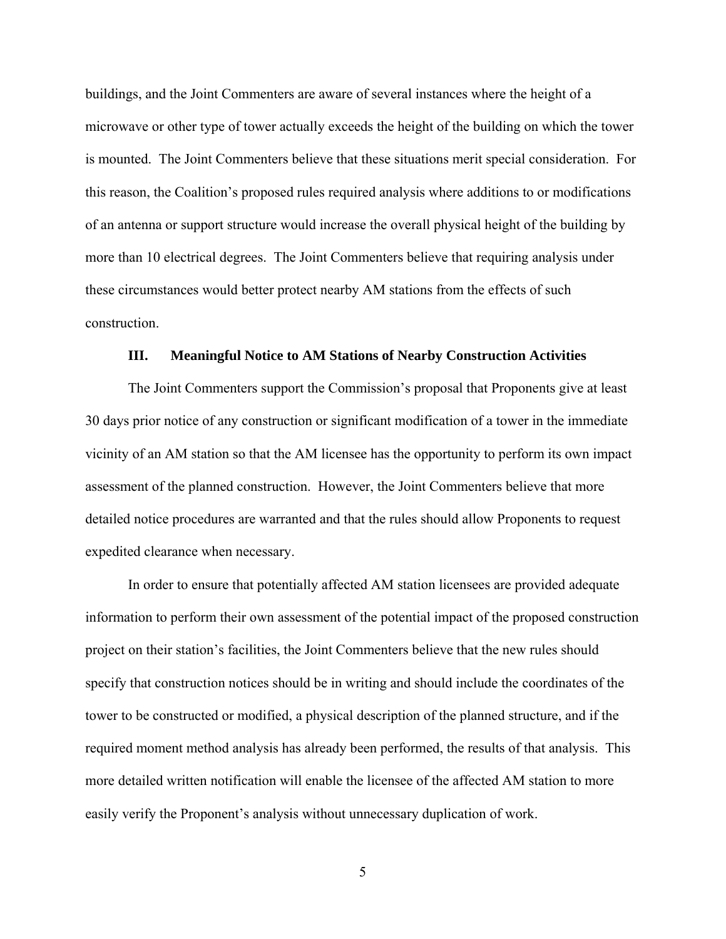buildings, and the Joint Commenters are aware of several instances where the height of a microwave or other type of tower actually exceeds the height of the building on which the tower is mounted. The Joint Commenters believe that these situations merit special consideration. For this reason, the Coalition's proposed rules required analysis where additions to or modifications of an antenna or support structure would increase the overall physical height of the building by more than 10 electrical degrees. The Joint Commenters believe that requiring analysis under these circumstances would better protect nearby AM stations from the effects of such construction.

#### **III. Meaningful Notice to AM Stations of Nearby Construction Activities**

The Joint Commenters support the Commission's proposal that Proponents give at least 30 days prior notice of any construction or significant modification of a tower in the immediate vicinity of an AM station so that the AM licensee has the opportunity to perform its own impact assessment of the planned construction. However, the Joint Commenters believe that more detailed notice procedures are warranted and that the rules should allow Proponents to request expedited clearance when necessary.

In order to ensure that potentially affected AM station licensees are provided adequate information to perform their own assessment of the potential impact of the proposed construction project on their station's facilities, the Joint Commenters believe that the new rules should specify that construction notices should be in writing and should include the coordinates of the tower to be constructed or modified, a physical description of the planned structure, and if the required moment method analysis has already been performed, the results of that analysis. This more detailed written notification will enable the licensee of the affected AM station to more easily verify the Proponent's analysis without unnecessary duplication of work.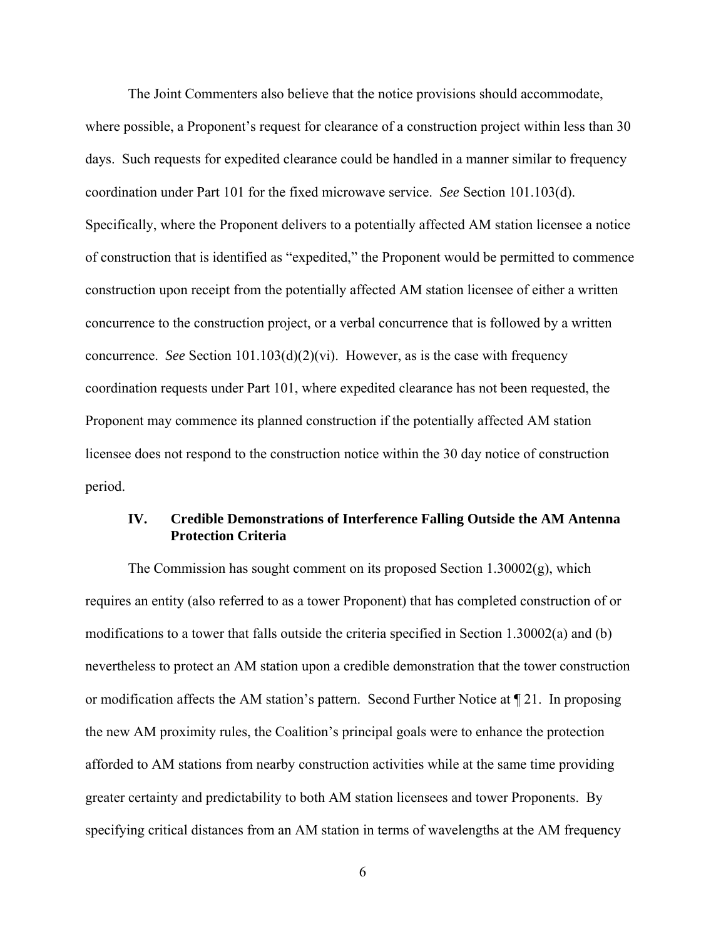The Joint Commenters also believe that the notice provisions should accommodate, where possible, a Proponent's request for clearance of a construction project within less than 30 days. Such requests for expedited clearance could be handled in a manner similar to frequency coordination under Part 101 for the fixed microwave service. *See* Section 101.103(d). Specifically, where the Proponent delivers to a potentially affected AM station licensee a notice of construction that is identified as "expedited," the Proponent would be permitted to commence construction upon receipt from the potentially affected AM station licensee of either a written concurrence to the construction project, or a verbal concurrence that is followed by a written concurrence. *See* Section 101.103(d)(2)(vi). However, as is the case with frequency coordination requests under Part 101, where expedited clearance has not been requested, the Proponent may commence its planned construction if the potentially affected AM station licensee does not respond to the construction notice within the 30 day notice of construction period.

#### **IV. Credible Demonstrations of Interference Falling Outside the AM Antenna Protection Criteria**

The Commission has sought comment on its proposed Section 1.30002(g), which requires an entity (also referred to as a tower Proponent) that has completed construction of or modifications to a tower that falls outside the criteria specified in Section 1.30002(a) and (b) nevertheless to protect an AM station upon a credible demonstration that the tower construction or modification affects the AM station's pattern. Second Further Notice at ¶ 21. In proposing the new AM proximity rules, the Coalition's principal goals were to enhance the protection afforded to AM stations from nearby construction activities while at the same time providing greater certainty and predictability to both AM station licensees and tower Proponents. By specifying critical distances from an AM station in terms of wavelengths at the AM frequency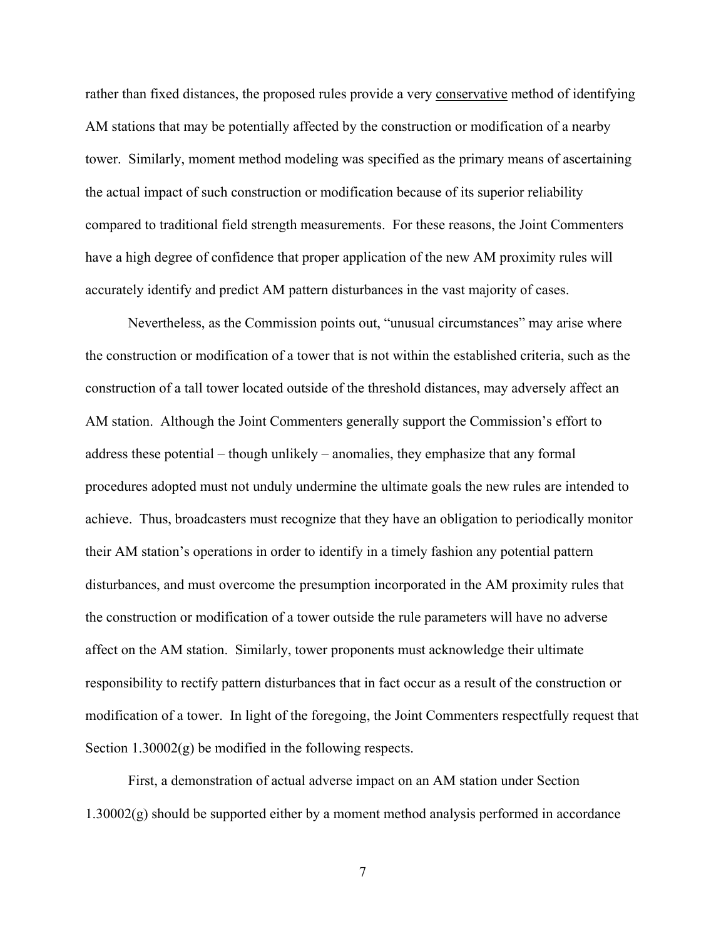rather than fixed distances, the proposed rules provide a very conservative method of identifying AM stations that may be potentially affected by the construction or modification of a nearby tower. Similarly, moment method modeling was specified as the primary means of ascertaining the actual impact of such construction or modification because of its superior reliability compared to traditional field strength measurements. For these reasons, the Joint Commenters have a high degree of confidence that proper application of the new AM proximity rules will accurately identify and predict AM pattern disturbances in the vast majority of cases.

Nevertheless, as the Commission points out, "unusual circumstances" may arise where the construction or modification of a tower that is not within the established criteria, such as the construction of a tall tower located outside of the threshold distances, may adversely affect an AM station. Although the Joint Commenters generally support the Commission's effort to address these potential – though unlikely – anomalies, they emphasize that any formal procedures adopted must not unduly undermine the ultimate goals the new rules are intended to achieve. Thus, broadcasters must recognize that they have an obligation to periodically monitor their AM station's operations in order to identify in a timely fashion any potential pattern disturbances, and must overcome the presumption incorporated in the AM proximity rules that the construction or modification of a tower outside the rule parameters will have no adverse affect on the AM station. Similarly, tower proponents must acknowledge their ultimate responsibility to rectify pattern disturbances that in fact occur as a result of the construction or modification of a tower. In light of the foregoing, the Joint Commenters respectfully request that Section 1.30002(g) be modified in the following respects.

First, a demonstration of actual adverse impact on an AM station under Section 1.30002(g) should be supported either by a moment method analysis performed in accordance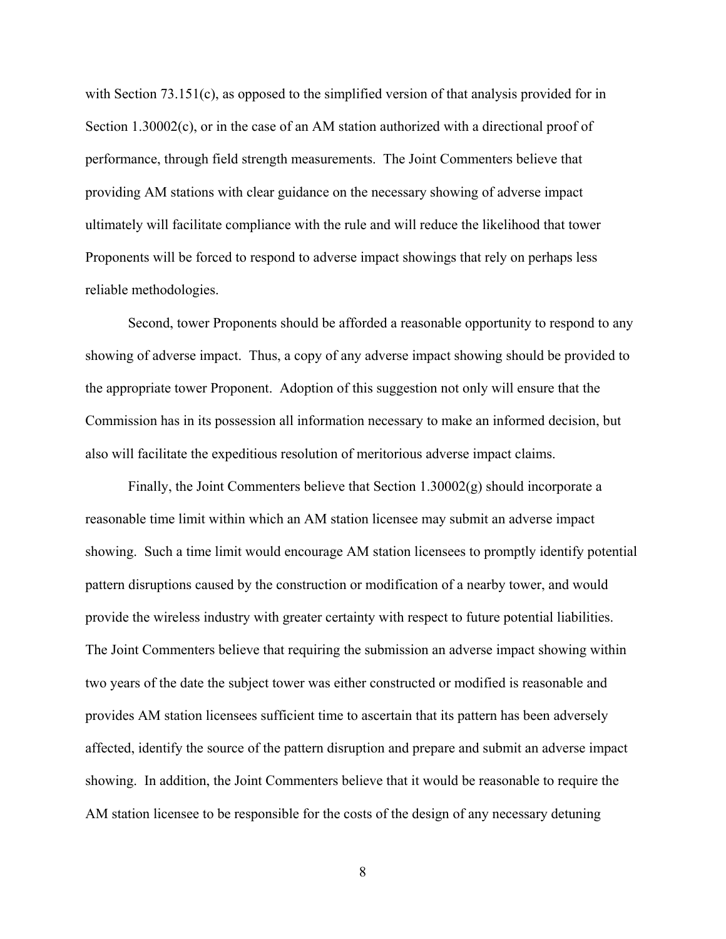with Section 73.151(c), as opposed to the simplified version of that analysis provided for in Section 1.30002(c), or in the case of an AM station authorized with a directional proof of performance, through field strength measurements. The Joint Commenters believe that providing AM stations with clear guidance on the necessary showing of adverse impact ultimately will facilitate compliance with the rule and will reduce the likelihood that tower Proponents will be forced to respond to adverse impact showings that rely on perhaps less reliable methodologies.

Second, tower Proponents should be afforded a reasonable opportunity to respond to any showing of adverse impact. Thus, a copy of any adverse impact showing should be provided to the appropriate tower Proponent. Adoption of this suggestion not only will ensure that the Commission has in its possession all information necessary to make an informed decision, but also will facilitate the expeditious resolution of meritorious adverse impact claims.

Finally, the Joint Commenters believe that Section 1.30002(g) should incorporate a reasonable time limit within which an AM station licensee may submit an adverse impact showing. Such a time limit would encourage AM station licensees to promptly identify potential pattern disruptions caused by the construction or modification of a nearby tower, and would provide the wireless industry with greater certainty with respect to future potential liabilities. The Joint Commenters believe that requiring the submission an adverse impact showing within two years of the date the subject tower was either constructed or modified is reasonable and provides AM station licensees sufficient time to ascertain that its pattern has been adversely affected, identify the source of the pattern disruption and prepare and submit an adverse impact showing. In addition, the Joint Commenters believe that it would be reasonable to require the AM station licensee to be responsible for the costs of the design of any necessary detuning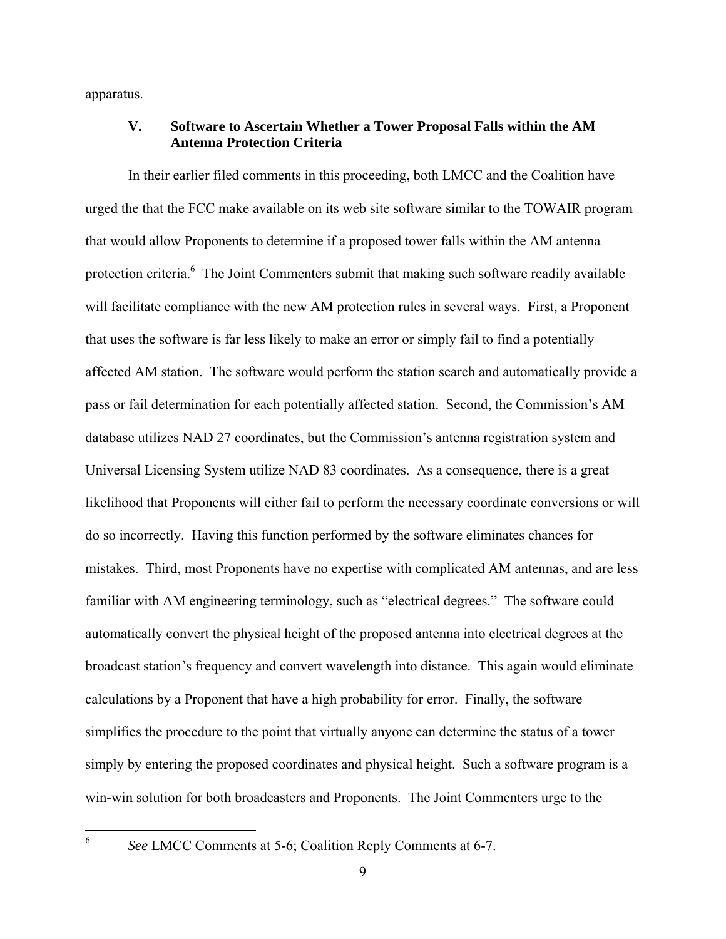apparatus.

#### **V. Software to Ascertain Whether a Tower Proposal Falls within the AM Antenna Protection Criteria**

In their earlier filed comments in this proceeding, both LMCC and the Coalition have urged the that the FCC make available on its web site software similar to the TOWAIR program that would allow Proponents to determine if a proposed tower falls within the AM antenna protection criteria.<sup>6</sup> The Joint Commenters submit that making such software readily available will facilitate compliance with the new AM protection rules in several ways. First, a Proponent that uses the software is far less likely to make an error or simply fail to find a potentially affected AM station. The software would perform the station search and automatically provide a pass or fail determination for each potentially affected station. Second, the Commission's AM database utilizes NAD 27 coordinates, but the Commission's antenna registration system and Universal Licensing System utilize NAD 83 coordinates. As a consequence, there is a great likelihood that Proponents will either fail to perform the necessary coordinate conversions or will do so incorrectly. Having this function performed by the software eliminates chances for mistakes. Third, most Proponents have no expertise with complicated AM antennas, and are less familiar with AM engineering terminology, such as "electrical degrees." The software could automatically convert the physical height of the proposed antenna into electrical degrees at the broadcast station's frequency and convert wavelength into distance. This again would eliminate calculations by a Proponent that have a high probability for error. Finally, the software simplifies the procedure to the point that virtually anyone can determine the status of a tower simply by entering the proposed coordinates and physical height. Such a software program is a win-win solution for both broadcasters and Proponents. The Joint Commenters urge to the

<sup>6</sup> *See* LMCC Comments at 5-6; Coalition Reply Comments at 6-7.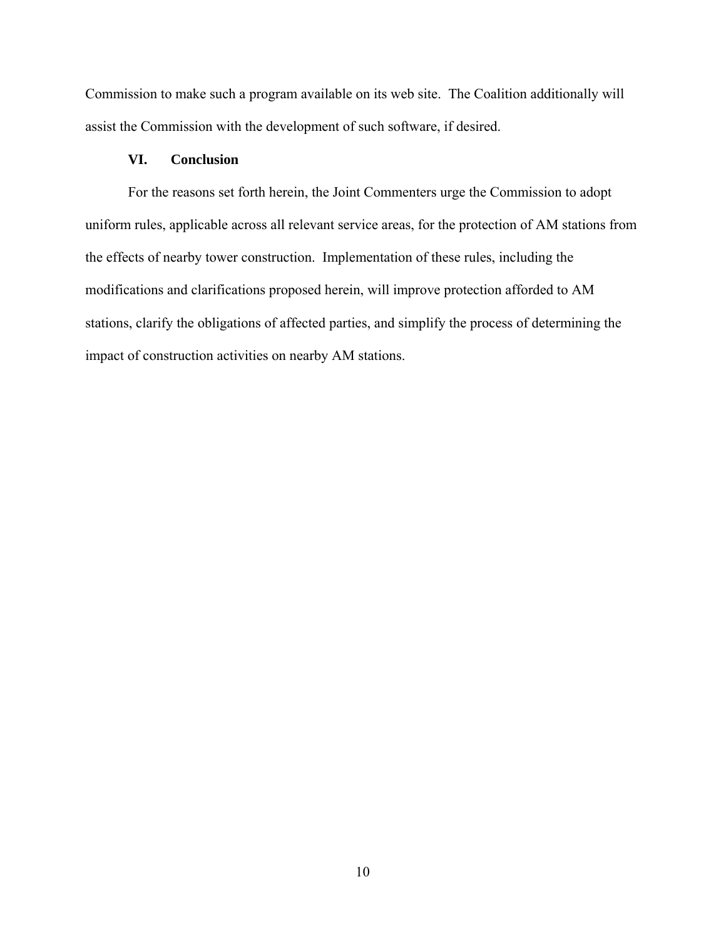Commission to make such a program available on its web site. The Coalition additionally will assist the Commission with the development of such software, if desired.

#### **VI. Conclusion**

 For the reasons set forth herein, the Joint Commenters urge the Commission to adopt uniform rules, applicable across all relevant service areas, for the protection of AM stations from the effects of nearby tower construction. Implementation of these rules, including the modifications and clarifications proposed herein, will improve protection afforded to AM stations, clarify the obligations of affected parties, and simplify the process of determining the impact of construction activities on nearby AM stations.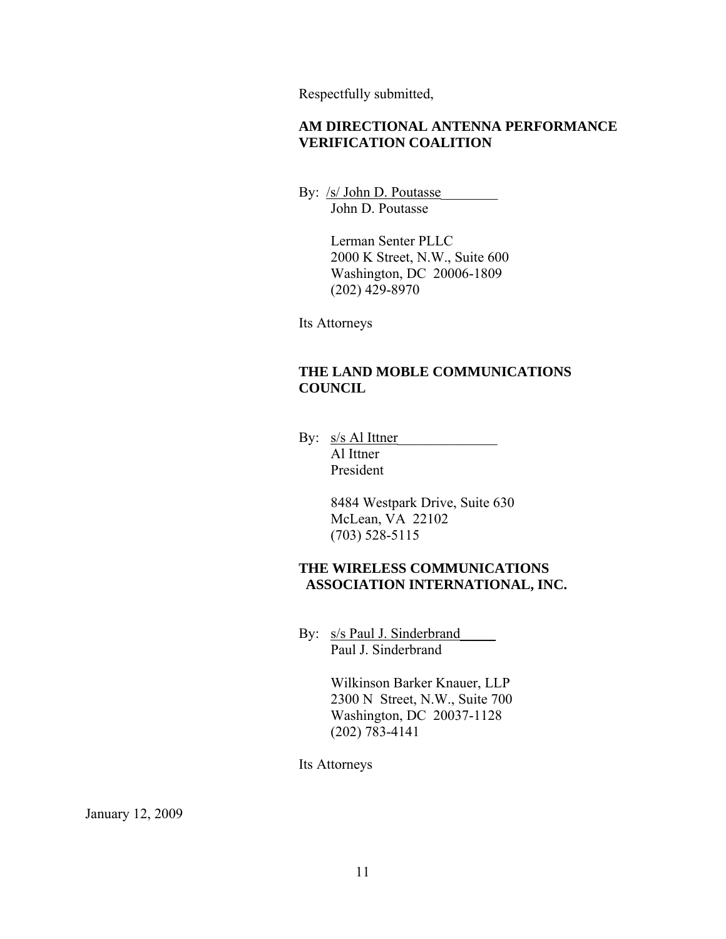Respectfully submitted,

#### **AM DIRECTIONAL ANTENNA PERFORMANCE VERIFICATION COALITION**

By: <u>/s/ John D. Poutasse</u> John D. Poutasse

> Lerman Senter PLLC 2000 K Street, N.W., Suite 600 Washington, DC 20006-1809 (202) 429-8970

Its Attorneys

#### **THE LAND MOBLE COMMUNICATIONS COUNCIL**

By: <u>s/s Al Ittner</u> Al Ittner President

> 8484 Westpark Drive, Suite 630 McLean, VA 22102 (703) 528-5115

#### **THE WIRELESS COMMUNICATIONS ASSOCIATION INTERNATIONAL, INC.**

By: s/s Paul J. Sinderbrand\_\_\_\_\_ Paul J. Sinderbrand

> Wilkinson Barker Knauer, LLP 2300 N Street, N.W., Suite 700 Washington, DC 20037-1128 (202) 783-4141

Its Attorneys

January 12, 2009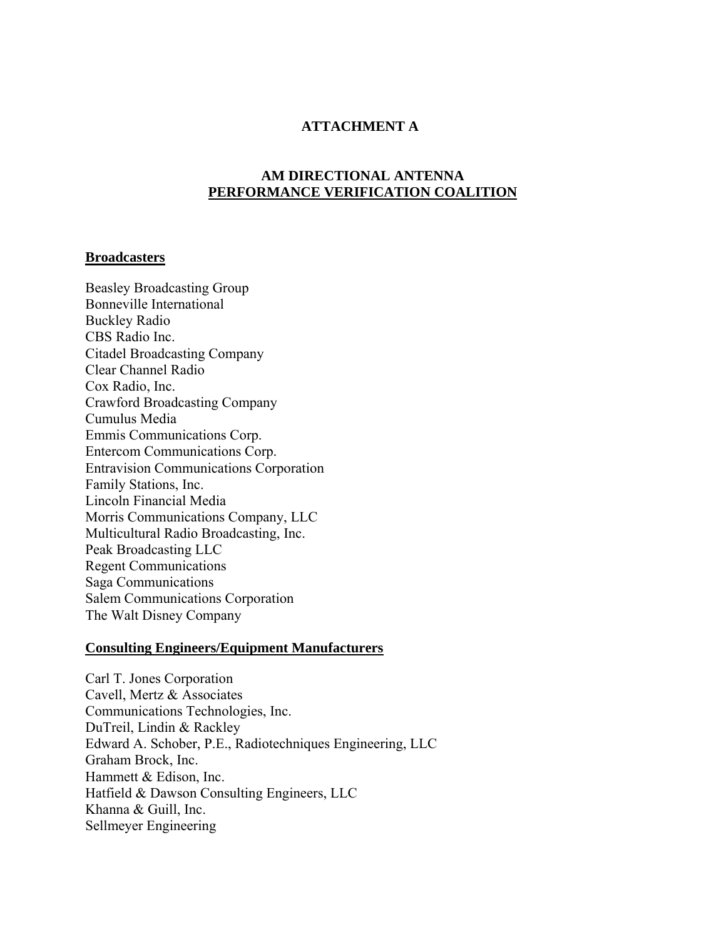#### **ATTACHMENT A**

#### **AM DIRECTIONAL ANTENNA PERFORMANCE VERIFICATION COALITION**

#### **Broadcasters**

Beasley Broadcasting Group Bonneville International Buckley Radio CBS Radio Inc. Citadel Broadcasting Company Clear Channel Radio Cox Radio, Inc. Crawford Broadcasting Company Cumulus Media Emmis Communications Corp. Entercom Communications Corp. Entravision Communications Corporation Family Stations, Inc. Lincoln Financial Media Morris Communications Company, LLC Multicultural Radio Broadcasting, Inc. Peak Broadcasting LLC Regent Communications Saga Communications Salem Communications Corporation The Walt Disney Company

#### **Consulting Engineers/Equipment Manufacturers**

Carl T. Jones Corporation Cavell, Mertz & Associates Communications Technologies, Inc. DuTreil, Lindin & Rackley Edward A. Schober, P.E., Radiotechniques Engineering, LLC Graham Brock, Inc. Hammett & Edison, Inc. Hatfield & Dawson Consulting Engineers, LLC Khanna & Guill, Inc. Sellmeyer Engineering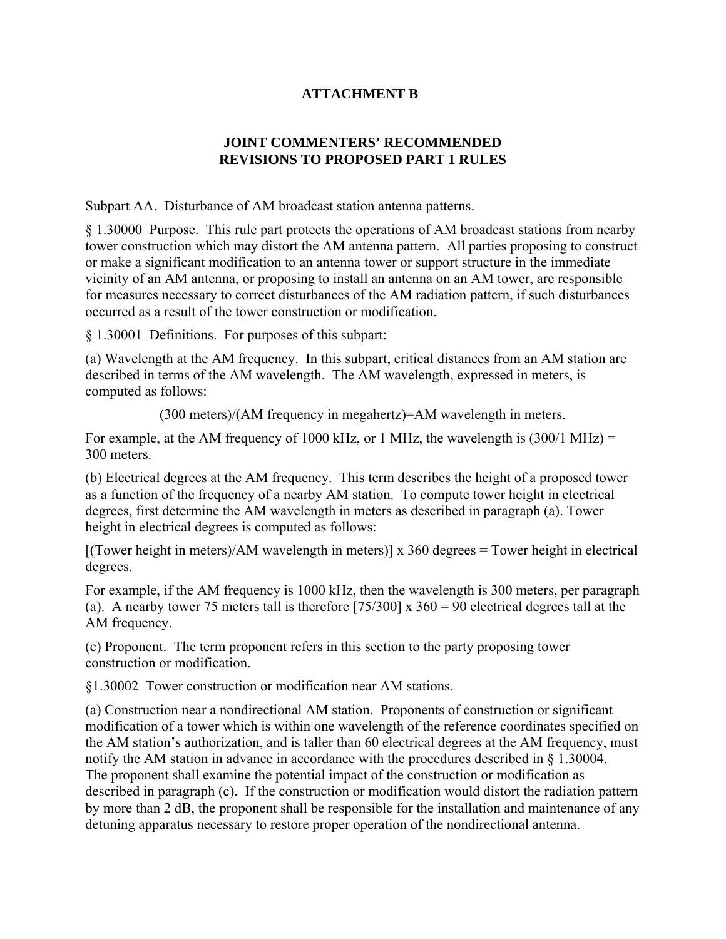## **ATTACHMENT B**

## **JOINT COMMENTERS' RECOMMENDED REVISIONS TO PROPOSED PART 1 RULES**

Subpart AA. Disturbance of AM broadcast station antenna patterns.

§ 1.30000 Purpose. This rule part protects the operations of AM broadcast stations from nearby tower construction which may distort the AM antenna pattern. All parties proposing to construct or make a significant modification to an antenna tower or support structure in the immediate vicinity of an AM antenna, or proposing to install an antenna on an AM tower, are responsible for measures necessary to correct disturbances of the AM radiation pattern, if such disturbances occurred as a result of the tower construction or modification.

§ 1.30001 Definitions. For purposes of this subpart:

(a) Wavelength at the AM frequency. In this subpart, critical distances from an AM station are described in terms of the AM wavelength. The AM wavelength, expressed in meters, is computed as follows:

(300 meters)/(AM frequency in megahertz)=AM wavelength in meters.

For example, at the AM frequency of 1000 kHz, or 1 MHz, the wavelength is  $(300/1 \text{ MHz}) =$ 300 meters.

(b) Electrical degrees at the AM frequency. This term describes the height of a proposed tower as a function of the frequency of a nearby AM station. To compute tower height in electrical degrees, first determine the AM wavelength in meters as described in paragraph (a). Tower height in electrical degrees is computed as follows:

 $[(Tower height in meters)/AM wavelength in meters)] \times 360 degrees = Tower height in electrical$ degrees.

For example, if the AM frequency is 1000 kHz, then the wavelength is 300 meters, per paragraph (a). A nearby tower 75 meters tall is therefore  $[75/300] \times 360 = 90$  electrical degrees tall at the AM frequency.

(c) Proponent. The term proponent refers in this section to the party proposing tower construction or modification.

§1.30002 Tower construction or modification near AM stations.

(a) Construction near a nondirectional AM station. Proponents of construction or significant modification of a tower which is within one wavelength of the reference coordinates specified on the AM station's authorization, and is taller than 60 electrical degrees at the AM frequency, must notify the AM station in advance in accordance with the procedures described in § 1.30004. The proponent shall examine the potential impact of the construction or modification as described in paragraph (c). If the construction or modification would distort the radiation pattern by more than 2 dB, the proponent shall be responsible for the installation and maintenance of any detuning apparatus necessary to restore proper operation of the nondirectional antenna.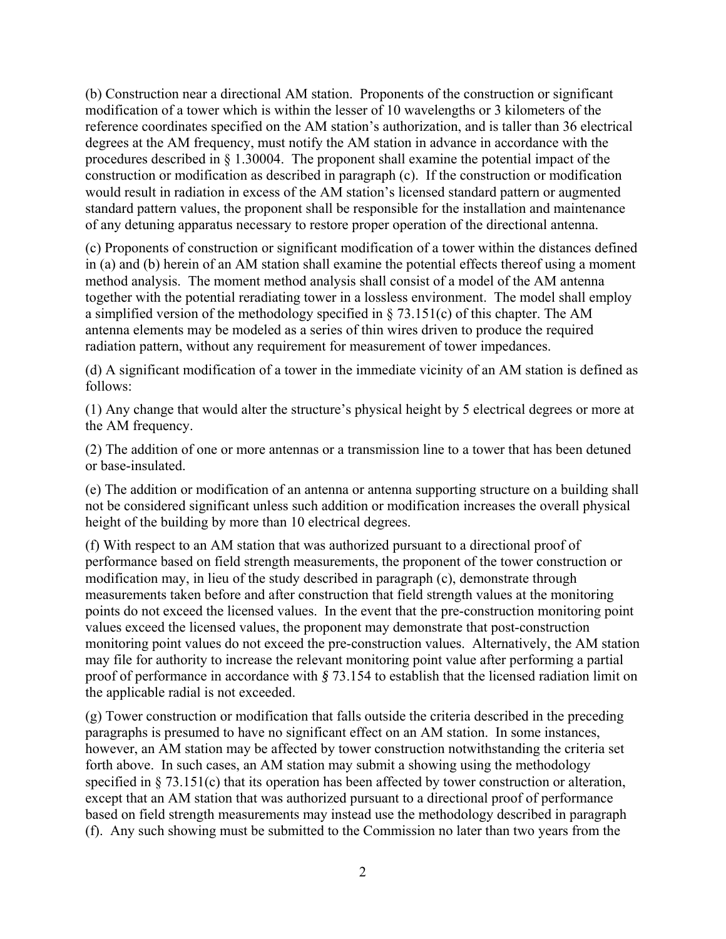(b) Construction near a directional AM station. Proponents of the construction or significant modification of a tower which is within the lesser of 10 wavelengths or 3 kilometers of the reference coordinates specified on the AM station's authorization, and is taller than 36 electrical degrees at the AM frequency, must notify the AM station in advance in accordance with the procedures described in § 1.30004. The proponent shall examine the potential impact of the construction or modification as described in paragraph (c). If the construction or modification would result in radiation in excess of the AM station's licensed standard pattern or augmented standard pattern values, the proponent shall be responsible for the installation and maintenance of any detuning apparatus necessary to restore proper operation of the directional antenna.

(c) Proponents of construction or significant modification of a tower within the distances defined in (a) and (b) herein of an AM station shall examine the potential effects thereof using a moment method analysis. The moment method analysis shall consist of a model of the AM antenna together with the potential reradiating tower in a lossless environment. The model shall employ a simplified version of the methodology specified in  $\S$  73.151(c) of this chapter. The AM antenna elements may be modeled as a series of thin wires driven to produce the required radiation pattern, without any requirement for measurement of tower impedances.

(d) A significant modification of a tower in the immediate vicinity of an AM station is defined as follows:

(1) Any change that would alter the structure's physical height by 5 electrical degrees or more at the AM frequency.

(2) The addition of one or more antennas or a transmission line to a tower that has been detuned or base-insulated.

(e) The addition or modification of an antenna or antenna supporting structure on a building shall not be considered significant unless such addition or modification increases the overall physical height of the building by more than 10 electrical degrees.

(f) With respect to an AM station that was authorized pursuant to a directional proof of performance based on field strength measurements, the proponent of the tower construction or modification may, in lieu of the study described in paragraph (c), demonstrate through measurements taken before and after construction that field strength values at the monitoring points do not exceed the licensed values. In the event that the pre-construction monitoring point values exceed the licensed values, the proponent may demonstrate that post-construction monitoring point values do not exceed the pre-construction values. Alternatively, the AM station may file for authority to increase the relevant monitoring point value after performing a partial proof of performance in accordance with *§* 73.154 to establish that the licensed radiation limit on the applicable radial is not exceeded.

(g) Tower construction or modification that falls outside the criteria described in the preceding paragraphs is presumed to have no significant effect on an AM station. In some instances, however, an AM station may be affected by tower construction notwithstanding the criteria set forth above. In such cases, an AM station may submit a showing using the methodology specified in § 73.151(c) that its operation has been affected by tower construction or alteration, except that an AM station that was authorized pursuant to a directional proof of performance based on field strength measurements may instead use the methodology described in paragraph (f). Any such showing must be submitted to the Commission no later than two years from the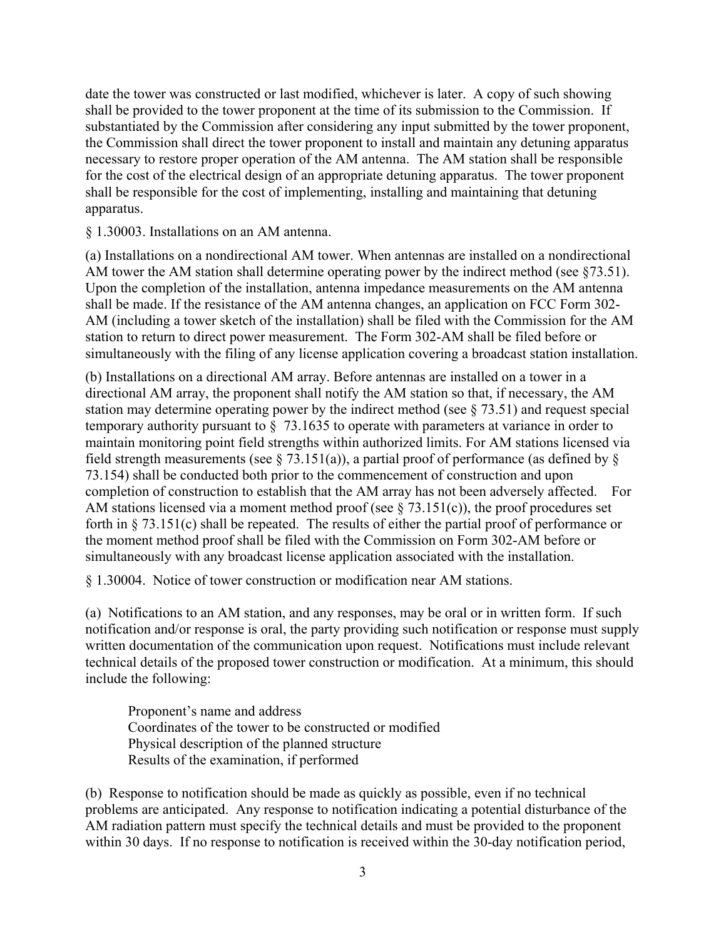date the tower was constructed or last modified, whichever is later. A copy of such showing shall be provided to the tower proponent at the time of its submission to the Commission. If substantiated by the Commission after considering any input submitted by the tower proponent, the Commission shall direct the tower proponent to install and maintain any detuning apparatus necessary to restore proper operation of the AM antenna. The AM station shall be responsible for the cost of the electrical design of an appropriate detuning apparatus. The tower proponent shall be responsible for the cost of implementing, installing and maintaining that detuning apparatus.

§ 1.30003. Installations on an AM antenna.

(a) Installations on a nondirectional AM tower. When antennas are installed on a nondirectional AM tower the AM station shall determine operating power by the indirect method (see §73.51). Upon the completion of the installation, antenna impedance measurements on the AM antenna shall be made. If the resistance of the AM antenna changes, an application on FCC Form 302- AM (including a tower sketch of the installation) shall be filed with the Commission for the AM station to return to direct power measurement. The Form 302-AM shall be filed before or simultaneously with the filing of any license application covering a broadcast station installation.

(b) Installations on a directional AM array. Before antennas are installed on a tower in a directional AM array, the proponent shall notify the AM station so that, if necessary, the AM station may determine operating power by the indirect method (see § 73.51) and request special temporary authority pursuant to § 73.1635 to operate with parameters at variance in order to maintain monitoring point field strengths within authorized limits. For AM stations licensed via field strength measurements (see § 73.151(a)), a partial proof of performance (as defined by § 73.154) shall be conducted both prior to the commencement of construction and upon completion of construction to establish that the AM array has not been adversely affected. For AM stations licensed via a moment method proof (see § 73.151(c)), the proof procedures set forth in § 73.151(c) shall be repeated. The results of either the partial proof of performance or the moment method proof shall be filed with the Commission on Form 302-AM before or simultaneously with any broadcast license application associated with the installation.

§ 1.30004. Notice of tower construction or modification near AM stations.

(a) Notifications to an AM station, and any responses, may be oral or in written form. If such notification and/or response is oral, the party providing such notification or response must supply written documentation of the communication upon request. Notifications must include relevant technical details of the proposed tower construction or modification. At a minimum, this should include the following:

 Proponent's name and address Coordinates of the tower to be constructed or modified Physical description of the planned structure Results of the examination, if performed

(b) Response to notification should be made as quickly as possible, even if no technical problems are anticipated. Any response to notification indicating a potential disturbance of the AM radiation pattern must specify the technical details and must be provided to the proponent within 30 days. If no response to notification is received within the 30-day notification period,